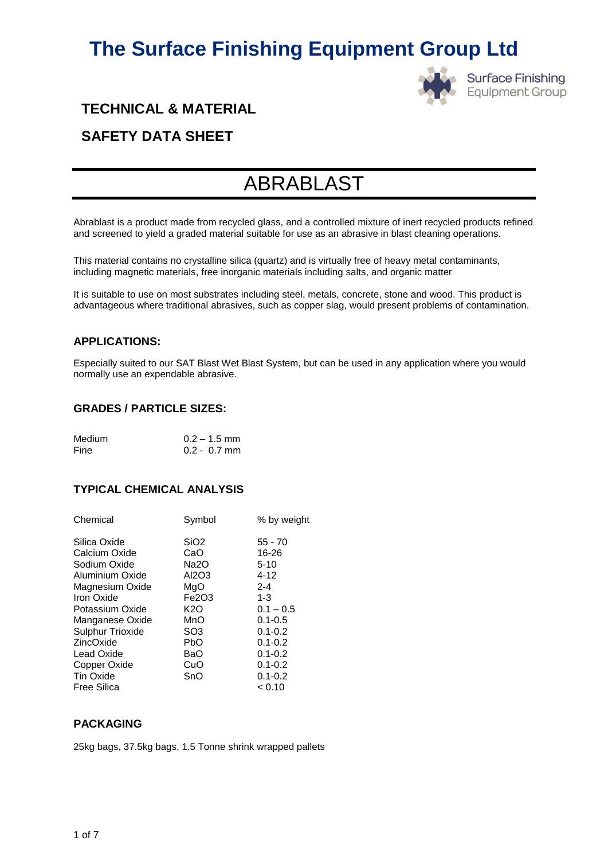

**Surface Finishing Equipment Group** 

# **TECHNICAL & MATERIAL**

# **SAFETY DATA SHEET**

# ABRABLAST

Abrablast is a product made from recycled glass, and a controlled mixture of inert recycled products refined and screened to yield a graded material suitable for use as an abrasive in blast cleaning operations.

This material contains no crystalline silica (quartz) and is virtually free of heavy metal contaminants, including magnetic materials, free inorganic materials including salts, and organic matter

It is suitable to use on most substrates including steel, metals, concrete, stone and wood. This product is advantageous where traditional abrasives, such as copper slag, would present problems of contamination.

### **APPLICATIONS:**

Especially suited to our SAT Blast Wet Blast System, but can be used in any application where you would normally use an expendable abrasive.

### **GRADES / PARTICLE SIZES:**

| Medium | $0.2 - 1.5$ mm |
|--------|----------------|
| Fine   | $0.2 - 0.7$ mm |

## **TYPICAL CHEMICAL ANALYSIS**

| Chemical                | Symbol            | % by weight |
|-------------------------|-------------------|-------------|
| Silica Oxide            | SiO <sub>2</sub>  | $55 - 70$   |
| Calcium Oxide           | CaO               | 16-26       |
| Sodium Oxide            | Na <sub>2</sub> O | $5 - 10$    |
| Aluminium Oxide         | AI2O3             | $4 - 12$    |
| Magnesium Oxide         | MgO               | $2 - 4$     |
| Iron Oxide              | Fe2O3             | $1 - 3$     |
| Potassium Oxide         | K2O               | $0.1 - 0.5$ |
| Manganese Oxide         | MnO               | $0.1 - 0.5$ |
| <b>Sulphur Trioxide</b> | SO <sub>3</sub>   | $0.1 - 0.2$ |
| ZincOxide               | <b>PbO</b>        | $0.1 - 0.2$ |
| <b>Lead Oxide</b>       | BaO               | $0.1 - 0.2$ |
| Copper Oxide            | CuO               | $0.1 - 0.2$ |
| <b>Tin Oxide</b>        | SnO               | $0.1 - 0.2$ |
| <b>Free Silica</b>      |                   | < 0.10      |

## **PACKAGING**

25kg bags, 37.5kg bags, 1.5 Tonne shrink wrapped pallets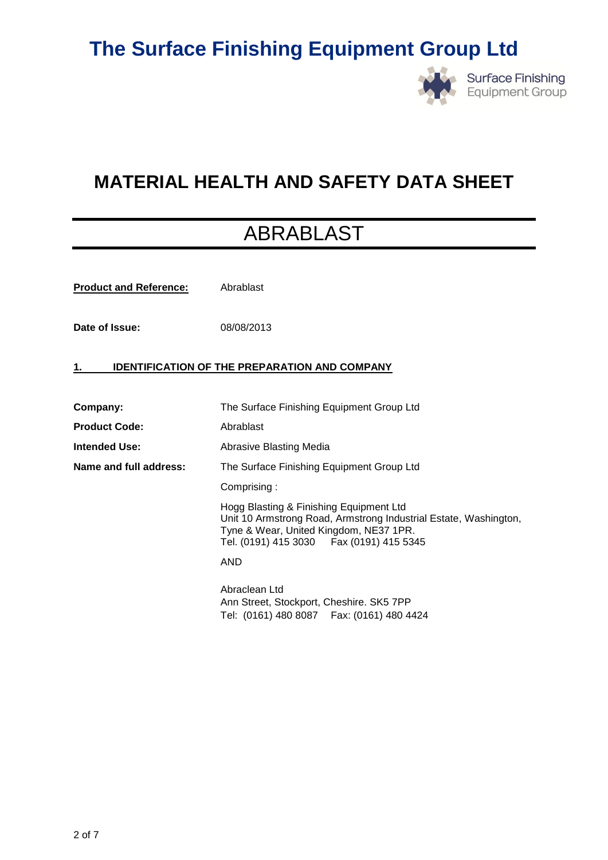

# **MATERIAL HEALTH AND SAFETY DATA SHEET**

# ABRABLAST

**Product and Reference:** Abrablast

**Date of Issue:** 08/08/2013

### **1. IDENTIFICATION OF THE PREPARATION AND COMPANY**

| Company:               | The Surface Finishing Equipment Group Ltd                                                                                                                                                           |  |
|------------------------|-----------------------------------------------------------------------------------------------------------------------------------------------------------------------------------------------------|--|
| <b>Product Code:</b>   | Abrablast                                                                                                                                                                                           |  |
| Intended Use:          | Abrasive Blasting Media                                                                                                                                                                             |  |
| Name and full address: | The Surface Finishing Equipment Group Ltd                                                                                                                                                           |  |
|                        | Comprising:                                                                                                                                                                                         |  |
|                        | Hogg Blasting & Finishing Equipment Ltd<br>Unit 10 Armstrong Road, Armstrong Industrial Estate, Washington,<br>Tyne & Wear, United Kingdom, NE37 1PR.<br>Tel. (0191) 415 3030   Fax (0191) 415 5345 |  |
|                        | AND                                                                                                                                                                                                 |  |
|                        | Abraclean Ltd<br>Ann Street, Stockport, Cheshire. SK5 7PP<br>Tel: (0161) 480 8087   Fax: (0161) 480 4424                                                                                            |  |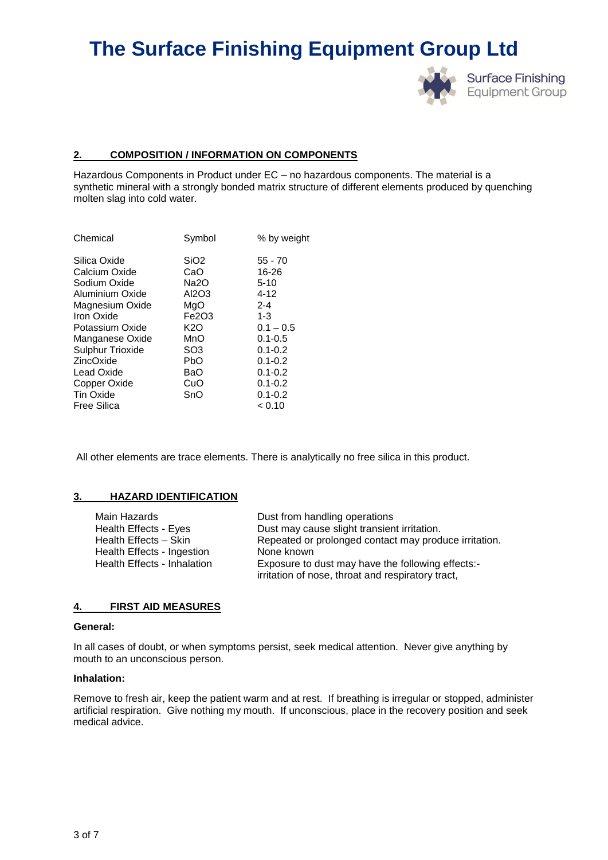

#### **2. COMPOSITION / INFORMATION ON COMPONENTS**

Hazardous Components in Product under EC – no hazardous components. The material is a synthetic mineral with a strongly bonded matrix structure of different elements produced by quenching molten slag into cold water.

| $55 - 70$   |
|-------------|
| 16-26       |
| $5 - 10$    |
| $4 - 12$    |
| $2 - 4$     |
| $1 - 3$     |
| $0.1 - 0.5$ |
| $0.1 - 0.5$ |
| $0.1 - 0.2$ |
| $0.1 - 0.2$ |
| $0.1 - 0.2$ |
| $0.1 - 0.2$ |
| $0.1 - 0.2$ |
| < 0.10      |
|             |

All other elements are trace elements. There is analytically no free silica in this product.

#### **3. HAZARD IDENTIFICATION**

| Main Hazards                | Dust from handling operations                         |
|-----------------------------|-------------------------------------------------------|
| Health Effects - Eyes       | Dust may cause slight transient irritation.           |
| Health Effects - Skin       | Repeated or prolonged contact may produce irritation. |
| Health Effects - Ingestion  | None known                                            |
| Health Effects - Inhalation | Exposure to dust may have the following effects:-     |
|                             | irritation of nose, throat and respiratory tract,     |

#### **4. FIRST AID MEASURES**

#### **General:**

In all cases of doubt, or when symptoms persist, seek medical attention. Never give anything by mouth to an unconscious person.

#### **Inhalation:**

Remove to fresh air, keep the patient warm and at rest. If breathing is irregular or stopped, administer artificial respiration. Give nothing my mouth. If unconscious, place in the recovery position and seek medical advice.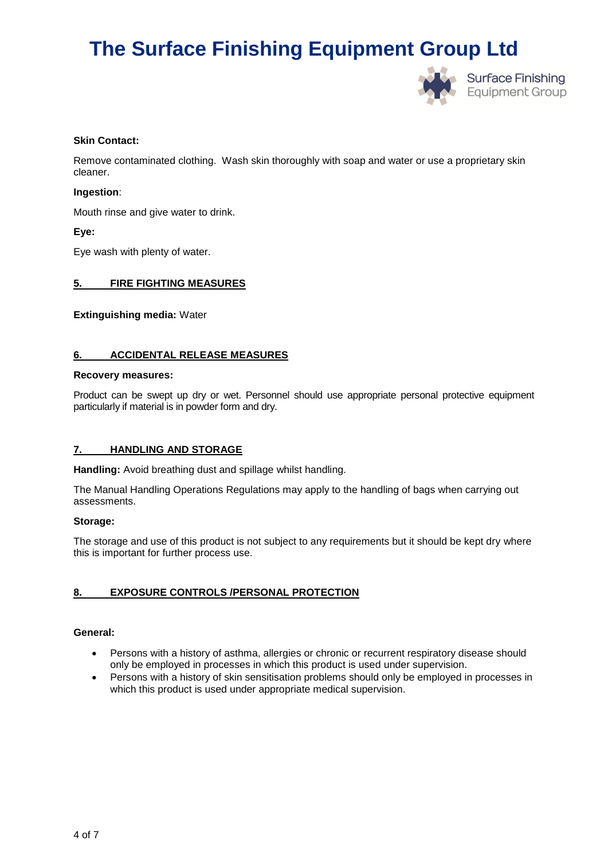

#### **Skin Contact:**

Remove contaminated clothing. Wash skin thoroughly with soap and water or use a proprietary skin cleaner.

#### **Ingestion**:

Mouth rinse and give water to drink.

#### **Eye:**

Eye wash with plenty of water.

#### **5. FIRE FIGHTING MEASURES**

**Extinguishing media:** Water

#### **6. ACCIDENTAL RELEASE MEASURES**

#### **Recovery measures:**

Product can be swept up dry or wet. Personnel should use appropriate personal protective equipment particularly if material is in powder form and dry.

#### **7. HANDLING AND STORAGE**

**Handling:** Avoid breathing dust and spillage whilst handling.

The Manual Handling Operations Regulations may apply to the handling of bags when carrying out assessments.

#### **Storage:**

The storage and use of this product is not subject to any requirements but it should be kept dry where this is important for further process use.

### **8. EXPOSURE CONTROLS /PERSONAL PROTECTION**

#### **General:**

- Persons with a history of asthma, allergies or chronic or recurrent respiratory disease should only be employed in processes in which this product is used under supervision.
- Persons with a history of skin sensitisation problems should only be employed in processes in which this product is used under appropriate medical supervision.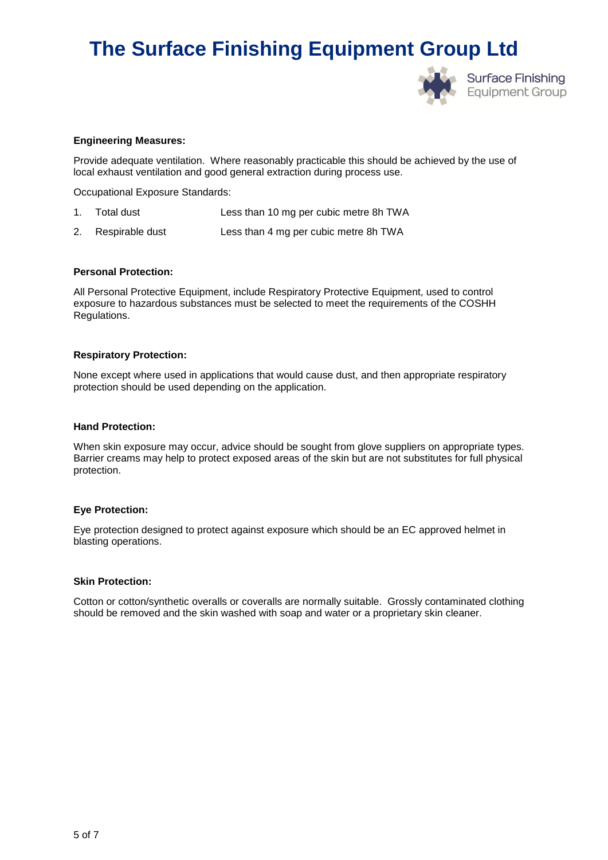

#### **Engineering Measures:**

Provide adequate ventilation. Where reasonably practicable this should be achieved by the use of local exhaust ventilation and good general extraction during process use.

Occupational Exposure Standards:

- 1. Total dust Less than 10 mg per cubic metre 8h TWA
- 2. Respirable dust Less than 4 mg per cubic metre 8h TWA

#### **Personal Protection:**

All Personal Protective Equipment, include Respiratory Protective Equipment, used to control exposure to hazardous substances must be selected to meet the requirements of the COSHH Regulations.

#### **Respiratory Protection:**

None except where used in applications that would cause dust, and then appropriate respiratory protection should be used depending on the application.

#### **Hand Protection:**

When skin exposure may occur, advice should be sought from glove suppliers on appropriate types. Barrier creams may help to protect exposed areas of the skin but are not substitutes for full physical protection.

#### **Eye Protection:**

Eye protection designed to protect against exposure which should be an EC approved helmet in blasting operations.

#### **Skin Protection:**

Cotton or cotton/synthetic overalls or coveralls are normally suitable. Grossly contaminated clothing should be removed and the skin washed with soap and water or a proprietary skin cleaner.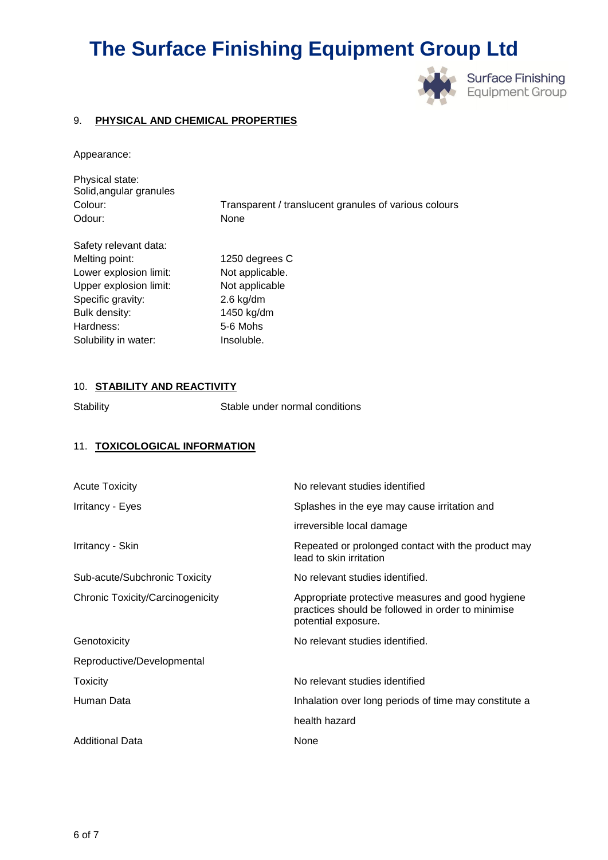

### 9. **PHYSICAL AND CHEMICAL PROPERTIES**

Appearance:

| Physical state:         |                                                       |
|-------------------------|-------------------------------------------------------|
| Solid, angular granules |                                                       |
| Colour:                 | Transparent / translucent granules of various colours |
| Odour:                  | None                                                  |
| Safety relevant data:   |                                                       |
| Melting point:          | 1250 degrees C                                        |
| Lower explosion limit:  | Not applicable.                                       |
| Upper explosion limit:  | Not applicable                                        |
| Specific gravity:       | $2.6$ kg/dm                                           |
| Bulk density:           | 1450 kg/dm                                            |

### 10. **STABILITY AND REACTIVITY**

Hardness: 5-6 Mohs Solubility in water: **Insoluble**.

Stability Stable under normal conditions

### 11. **TOXICOLOGICAL INFORMATION**

| <b>Acute Toxicity</b>            | No relevant studies identified                                                                                               |
|----------------------------------|------------------------------------------------------------------------------------------------------------------------------|
| Irritancy - Eyes                 | Splashes in the eye may cause irritation and                                                                                 |
|                                  | irreversible local damage                                                                                                    |
| Irritancy - Skin                 | Repeated or prolonged contact with the product may<br>lead to skin irritation                                                |
| Sub-acute/Subchronic Toxicity    | No relevant studies identified.                                                                                              |
| Chronic Toxicity/Carcinogenicity | Appropriate protective measures and good hygiene<br>practices should be followed in order to minimise<br>potential exposure. |
| Genotoxicity                     | No relevant studies identified.                                                                                              |
| Reproductive/Developmental       |                                                                                                                              |
| Toxicity                         | No relevant studies identified                                                                                               |
| Human Data                       | Inhalation over long periods of time may constitute a                                                                        |
|                                  | health hazard                                                                                                                |
| <b>Additional Data</b>           | None                                                                                                                         |